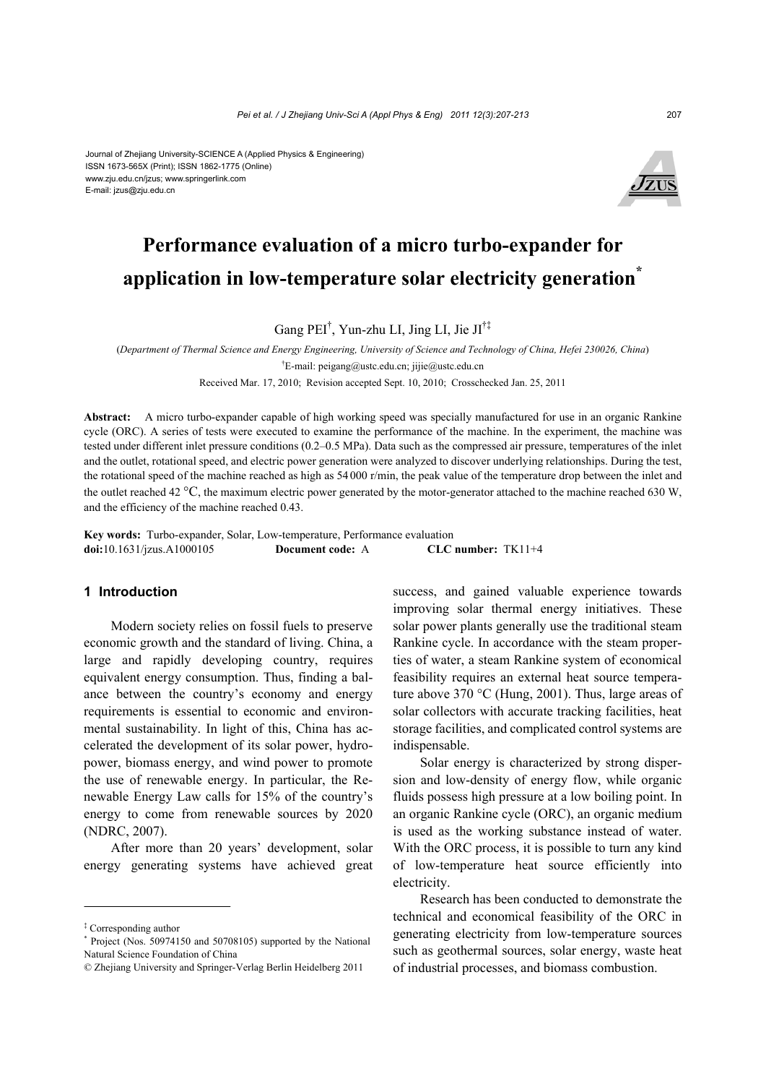

# **Performance evaluation of a micro turbo-expander for application in low-temperature solar electricity generation\***

Gang PEI<sup>†</sup>, Yun-zhu LI, Jing LI, Jie JI<sup>†‡</sup>

(*Department of Thermal Science and Energy Engineering, University of Science and Technology of China, Hefei 230026, China*) † E-mail: peigang@ustc.edu.cn; jijie@ustc.edu.cn

Received Mar. 17, 2010; Revision accepted Sept. 10, 2010; Crosschecked Jan. 25, 2011

**Abstract:** A micro turbo-expander capable of high working speed was specially manufactured for use in an organic Rankine cycle (ORC). A series of tests were executed to examine the performance of the machine. In the experiment, the machine was tested under different inlet pressure conditions (0.2–0.5 MPa). Data such as the compressed air pressure, temperatures of the inlet and the outlet, rotational speed, and electric power generation were analyzed to discover underlying relationships. During the test, the rotational speed of the machine reached as high as 54 000 r/min, the peak value of the temperature drop between the inlet and the outlet reached 42  $^{\circ}C$ , the maximum electric power generated by the motor-generator attached to the machine reached 630 W, and the efficiency of the machine reached 0.43.

**Key words:** Turbo-expander, Solar, Low-temperature, Performance evaluation **doi:**10.1631/jzus.A1000105 **Document code:** A **CLC number:** TK11+4

### **1 Introduction**

E-mail: jzus@zju.edu.cn

Modern society relies on fossil fuels to preserve economic growth and the standard of living. China, a large and rapidly developing country, requires equivalent energy consumption. Thus, finding a balance between the country's economy and energy requirements is essential to economic and environmental sustainability. In light of this, China has accelerated the development of its solar power, hydropower, biomass energy, and wind power to promote the use of renewable energy. In particular, the Renewable Energy Law calls for 15% of the country's energy to come from renewable sources by 2020 (NDRC, 2007).

After more than 20 years' development, solar energy generating systems have achieved great success, and gained valuable experience towards improving solar thermal energy initiatives. These solar power plants generally use the traditional steam Rankine cycle. In accordance with the steam properties of water, a steam Rankine system of economical feasibility requires an external heat source temperature above 370 °C (Hung, 2001). Thus, large areas of solar collectors with accurate tracking facilities, heat storage facilities, and complicated control systems are indispensable.

Solar energy is characterized by strong dispersion and low-density of energy flow, while organic fluids possess high pressure at a low boiling point. In an organic Rankine cycle (ORC), an organic medium is used as the working substance instead of water. With the ORC process, it is possible to turn any kind of low-temperature heat source efficiently into electricity.

Research has been conducted to demonstrate the technical and economical feasibility of the ORC in generating electricity from low-temperature sources such as geothermal sources, solar energy, waste heat of industrial processes, and biomass combustion.

<sup>‡</sup> Corresponding author

<sup>\*</sup> Project (Nos. 50974150 and 50708105) supported by the National Natural Science Foundation of China

<sup>©</sup> Zhejiang University and Springer-Verlag Berlin Heidelberg 2011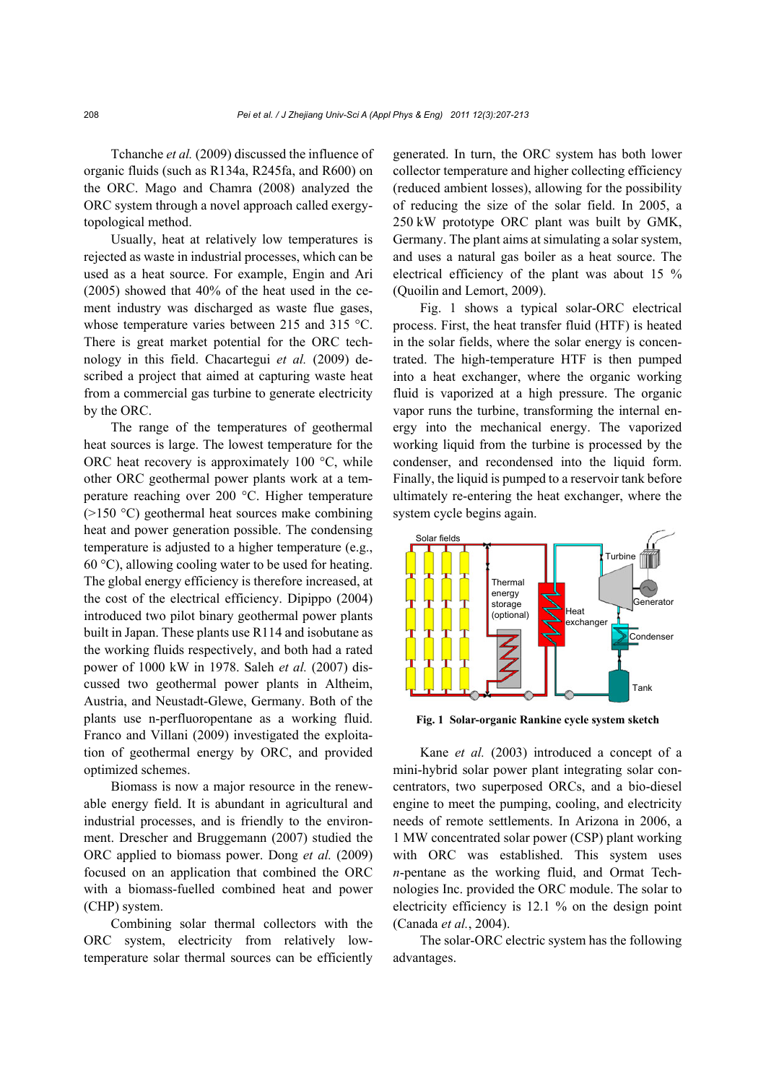Tchanche *et al.* (2009) discussed the influence of organic fluids (such as R134a, R245fa, and R600) on the ORC. Mago and Chamra (2008) analyzed the ORC system through a novel approach called exergytopological method.

Usually, heat at relatively low temperatures is rejected as waste in industrial processes, which can be used as a heat source. For example, Engin and Ari (2005) showed that 40% of the heat used in the cement industry was discharged as waste flue gases, whose temperature varies between 215 and 315 °C. There is great market potential for the ORC technology in this field. Chacartegui *et al.* (2009) described a project that aimed at capturing waste heat from a commercial gas turbine to generate electricity by the ORC.

The range of the temperatures of geothermal heat sources is large. The lowest temperature for the ORC heat recovery is approximately 100  $\degree$ C, while other ORC geothermal power plants work at a temperature reaching over 200 °C. Higher temperature (>150 °C) geothermal heat sources make combining heat and power generation possible. The condensing temperature is adjusted to a higher temperature (e.g.,  $60^{\circ}$ C), allowing cooling water to be used for heating. The global energy efficiency is therefore increased, at the cost of the electrical efficiency. Dipippo (2004) introduced two pilot binary geothermal power plants built in Japan. These plants use R114 and isobutane as the working fluids respectively, and both had a rated power of 1000 kW in 1978. Saleh *et al.* (2007) discussed two geothermal power plants in Altheim, Austria, and Neustadt-Glewe, Germany. Both of the plants use n-perfluoropentane as a working fluid. Franco and Villani (2009) investigated the exploitation of geothermal energy by ORC, and provided optimized schemes.

Biomass is now a major resource in the renewable energy field. It is abundant in agricultural and industrial processes, and is friendly to the environment. Drescher and Bruggemann (2007) studied the ORC applied to biomass power. Dong *et al.* (2009) focused on an application that combined the ORC with a biomass-fuelled combined heat and power (CHP) system.

Combining solar thermal collectors with the ORC system, electricity from relatively lowtemperature solar thermal sources can be efficiently generated. In turn, the ORC system has both lower collector temperature and higher collecting efficiency (reduced ambient losses), allowing for the possibility of reducing the size of the solar field. In 2005, a 250 kW prototype ORC plant was built by GMK, Germany. The plant aims at simulating a solar system, and uses a natural gas boiler as a heat source. The electrical efficiency of the plant was about 15 % (Quoilin and Lemort, 2009).

Fig. 1 shows a typical solar-ORC electrical process. First, the heat transfer fluid (HTF) is heated in the solar fields, where the solar energy is concentrated. The high-temperature HTF is then pumped into a heat exchanger, where the organic working fluid is vaporized at a high pressure. The organic vapor runs the turbine, transforming the internal energy into the mechanical energy. The vaporized working liquid from the turbine is processed by the condenser, and recondensed into the liquid form. Finally, the liquid is pumped to a reservoir tank before ultimately re-entering the heat exchanger, where the system cycle begins again.



**Fig. 1 Solar-organic Rankine cycle system sketch** 

Kane *et al.* (2003) introduced a concept of a mini-hybrid solar power plant integrating solar concentrators, two superposed ORCs, and a bio-diesel engine to meet the pumping, cooling, and electricity needs of remote settlements. In Arizona in 2006, a 1 MW concentrated solar power (CSP) plant working with ORC was established. This system uses *n*-pentane as the working fluid, and Ormat Technologies Inc. provided the ORC module. The solar to electricity efficiency is 12.1 % on the design point (Canada *et al.*, 2004).

The solar-ORC electric system has the following advantages.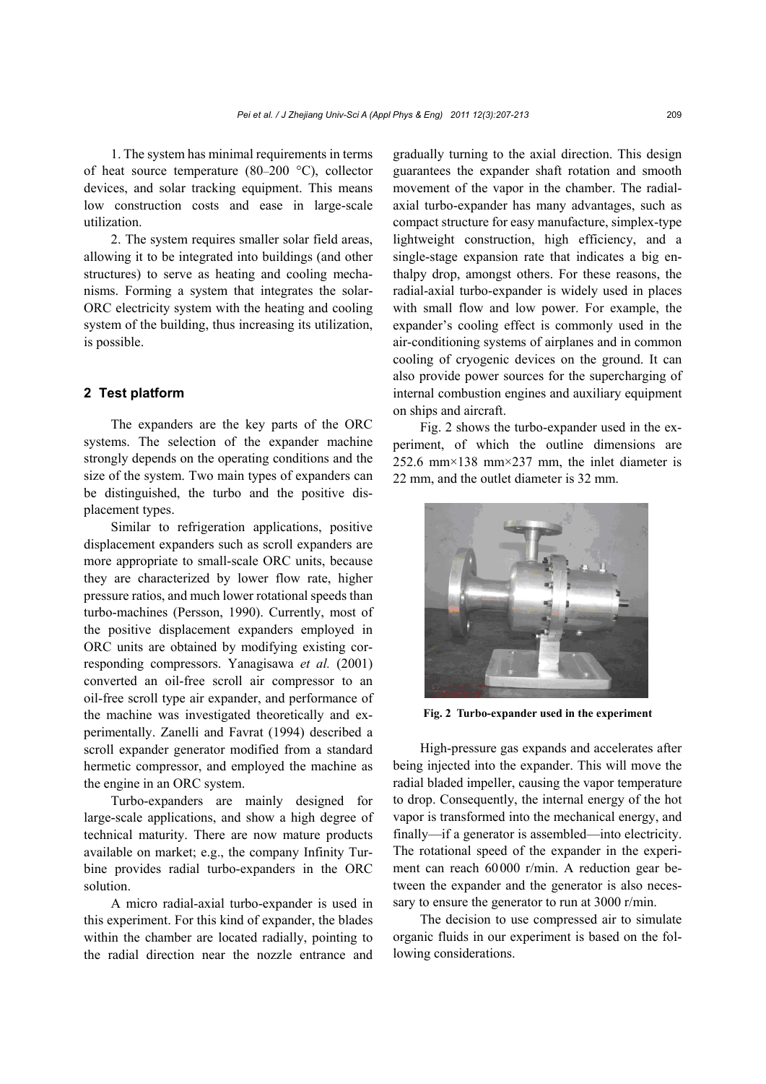1. The system has minimal requirements in terms of heat source temperature (80–200 °C), collector devices, and solar tracking equipment. This means low construction costs and ease in large-scale utilization.

2. The system requires smaller solar field areas, allowing it to be integrated into buildings (and other structures) to serve as heating and cooling mechanisms. Forming a system that integrates the solar-ORC electricity system with the heating and cooling system of the building, thus increasing its utilization, is possible.

## **2 Test platform**

The expanders are the key parts of the ORC systems. The selection of the expander machine strongly depends on the operating conditions and the size of the system. Two main types of expanders can be distinguished, the turbo and the positive displacement types.

Similar to refrigeration applications, positive displacement expanders such as scroll expanders are more appropriate to small-scale ORC units, because they are characterized by lower flow rate, higher pressure ratios, and much lower rotational speeds than turbo-machines (Persson, 1990). Currently, most of the positive displacement expanders employed in ORC units are obtained by modifying existing corresponding compressors. Yanagisawa *et al.* (2001) converted an oil-free scroll air compressor to an oil-free scroll type air expander, and performance of the machine was investigated theoretically and experimentally. Zanelli and Favrat (1994) described a scroll expander generator modified from a standard hermetic compressor, and employed the machine as the engine in an ORC system.

Turbo-expanders are mainly designed for large-scale applications, and show a high degree of technical maturity. There are now mature products available on market; e.g., the company Infinity Turbine provides radial turbo-expanders in the ORC solution.

A micro radial-axial turbo-expander is used in this experiment. For this kind of expander, the blades within the chamber are located radially, pointing to the radial direction near the nozzle entrance and gradually turning to the axial direction. This design guarantees the expander shaft rotation and smooth movement of the vapor in the chamber. The radialaxial turbo-expander has many advantages, such as compact structure for easy manufacture, simplex-type lightweight construction, high efficiency, and a single-stage expansion rate that indicates a big enthalpy drop, amongst others. For these reasons, the radial-axial turbo-expander is widely used in places with small flow and low power. For example, the expander's cooling effect is commonly used in the air-conditioning systems of airplanes and in common cooling of cryogenic devices on the ground. It can also provide power sources for the supercharging of internal combustion engines and auxiliary equipment on ships and aircraft.

Fig. 2 shows the turbo-expander used in the experiment, of which the outline dimensions are 252.6 mm×138 mm×237 mm, the inlet diameter is 22 mm, and the outlet diameter is 32 mm.



**Fig. 2 Turbo-expander used in the experiment** 

High-pressure gas expands and accelerates after being injected into the expander. This will move the radial bladed impeller, causing the vapor temperature to drop. Consequently, the internal energy of the hot vapor is transformed into the mechanical energy, and finally—if a generator is assembled—into electricity. The rotational speed of the expander in the experiment can reach 60000 r/min. A reduction gear between the expander and the generator is also necessary to ensure the generator to run at 3000 r/min.

The decision to use compressed air to simulate organic fluids in our experiment is based on the following considerations.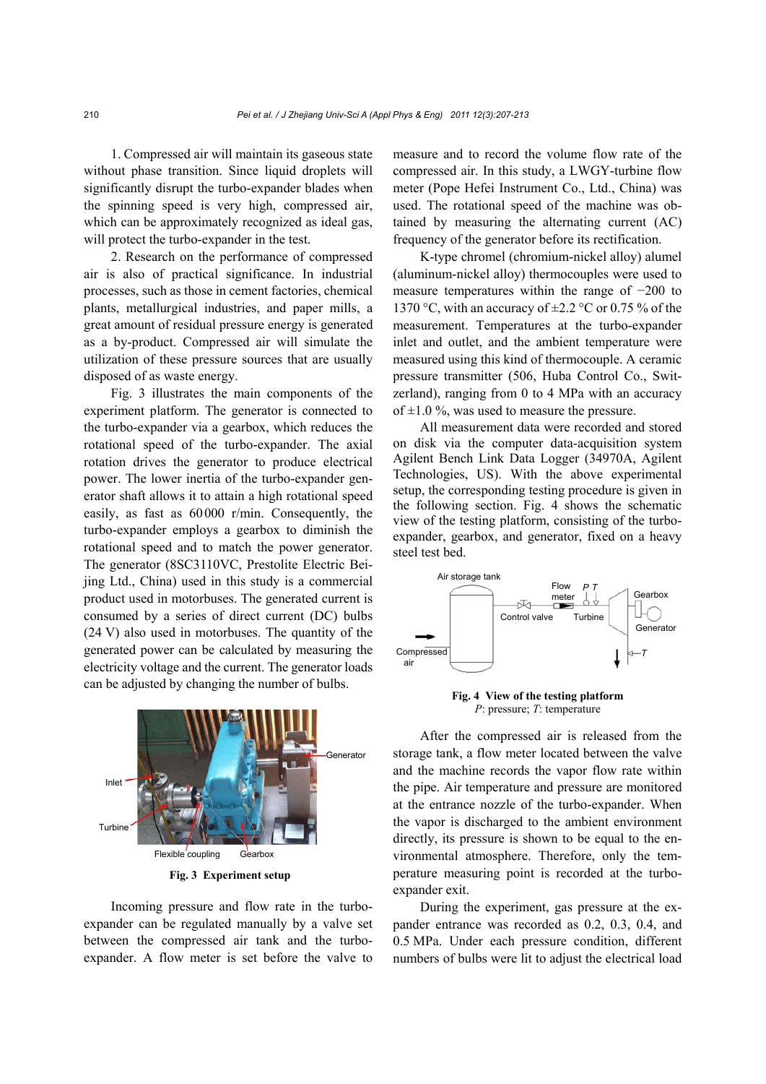1. Compressed air will maintain its gaseous state without phase transition. Since liquid droplets will significantly disrupt the turbo-expander blades when the spinning speed is very high, compressed air, which can be approximately recognized as ideal gas, will protect the turbo-expander in the test.

2. Research on the performance of compressed air is also of practical significance. In industrial processes, such as those in cement factories, chemical plants, metallurgical industries, and paper mills, a great amount of residual pressure energy is generated as a by-product. Compressed air will simulate the utilization of these pressure sources that are usually disposed of as waste energy.

Fig. 3 illustrates the main components of the experiment platform. The generator is connected to the turbo-expander via a gearbox, which reduces the rotational speed of the turbo-expander. The axial rotation drives the generator to produce electrical power. The lower inertia of the turbo-expander generator shaft allows it to attain a high rotational speed easily, as fast as 60000 r/min. Consequently, the turbo-expander employs a gearbox to diminish the rotational speed and to match the power generator. The generator (8SC3110VC, Prestolite Electric Beijing Ltd., China) used in this study is a commercial product used in motorbuses. The generated current is consumed by a series of direct current (DC) bulbs (24 V) also used in motorbuses. The quantity of the generated power can be calculated by measuring the electricity voltage and the current. The generator loads can be adjusted by changing the number of bulbs.



Incoming pressure and flow rate in the turboexpander can be regulated manually by a valve set between the compressed air tank and the turboexpander. A flow meter is set before the valve to measure and to record the volume flow rate of the compressed air. In this study, a LWGY-turbine flow meter (Pope Hefei Instrument Co., Ltd., China) was used. The rotational speed of the machine was obtained by measuring the alternating current (AC) frequency of the generator before its rectification.

K-type chromel (chromium-nickel alloy) alumel (aluminum-nickel alloy) thermocouples were used to measure temperatures within the range of −200 to 1370 °C, with an accuracy of  $\pm$ 2.2 °C or 0.75 % of the measurement. Temperatures at the turbo-expander inlet and outlet, and the ambient temperature were measured using this kind of thermocouple. A ceramic pressure transmitter (506, Huba Control Co., Switzerland), ranging from 0 to 4 MPa with an accuracy of  $\pm 1.0$  %, was used to measure the pressure.

All measurement data were recorded and stored on disk via the computer data-acquisition system Agilent Bench Link Data Logger (34970A, Agilent Technologies, US). With the above experimental setup, the corresponding testing procedure is given in the following section. Fig. 4 shows the schematic view of the testing platform, consisting of the turboexpander, gearbox, and generator, fixed on a heavy steel test bed.



**Fig. 4 View of the testing platform**  *P*: pressure; *T*: temperature

After the compressed air is released from the storage tank, a flow meter located between the valve and the machine records the vapor flow rate within the pipe. Air temperature and pressure are monitored at the entrance nozzle of the turbo-expander. When the vapor is discharged to the ambient environment directly, its pressure is shown to be equal to the environmental atmosphere. Therefore, only the temperature measuring point is recorded at the turboexpander exit.

During the experiment, gas pressure at the expander entrance was recorded as 0.2, 0.3, 0.4, and 0.5 MPa. Under each pressure condition, different numbers of bulbs were lit to adjust the electrical load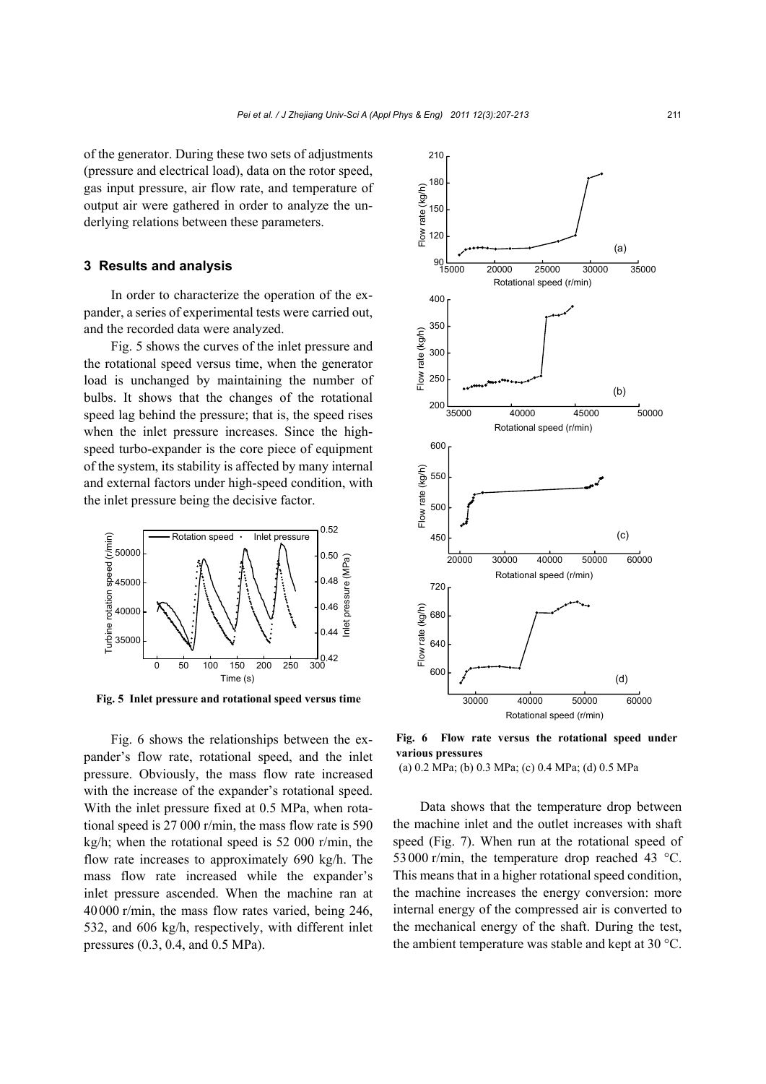of the generator. During these two sets of adjustments (pressure and electrical load), data on the rotor speed, gas input pressure, air flow rate, and temperature of output air were gathered in order to analyze the underlying relations between these parameters.

#### **3 Results and analysis**

In order to characterize the operation of the expander, a series of experimental tests were carried out, and the recorded data were analyzed.

Fig. 5 shows the curves of the inlet pressure and the rotational speed versus time, when the generator load is unchanged by maintaining the number of bulbs. It shows that the changes of the rotational speed lag behind the pressure; that is, the speed rises when the inlet pressure increases. Since the highspeed turbo-expander is the core piece of equipment of the system, its stability is affected by many internal and external factors under high-speed condition, with the inlet pressure being the decisive factor.



**Fig. 5 Inlet pressure and rotational speed versus time** 

Fig. 6 shows the relationships between the expander's flow rate, rotational speed, and the inlet pressure. Obviously, the mass flow rate increased with the increase of the expander's rotational speed. With the inlet pressure fixed at 0.5 MPa, when rotational speed is 27 000 r/min, the mass flow rate is 590 kg/h; when the rotational speed is 52 000 r/min, the flow rate increases to approximately 690 kg/h. The mass flow rate increased while the expander's inlet pressure ascended. When the machine ran at 40000 r/min, the mass flow rates varied, being 246, 532, and 606 kg/h, respectively, with different inlet pressures (0.3, 0.4, and 0.5 MPa).



**Fig. 6 Flow rate versus the rotational speed under various pressures** 

(a) 0.2 MPa; (b) 0.3 MPa; (c) 0.4 MPa; (d) 0.5 MPa

Data shows that the temperature drop between the machine inlet and the outlet increases with shaft speed (Fig. 7). When run at the rotational speed of 53000 r/min, the temperature drop reached 43 °C. This means that in a higher rotational speed condition, the machine increases the energy conversion: more internal energy of the compressed air is converted to the mechanical energy of the shaft. During the test, the ambient temperature was stable and kept at 30 °C.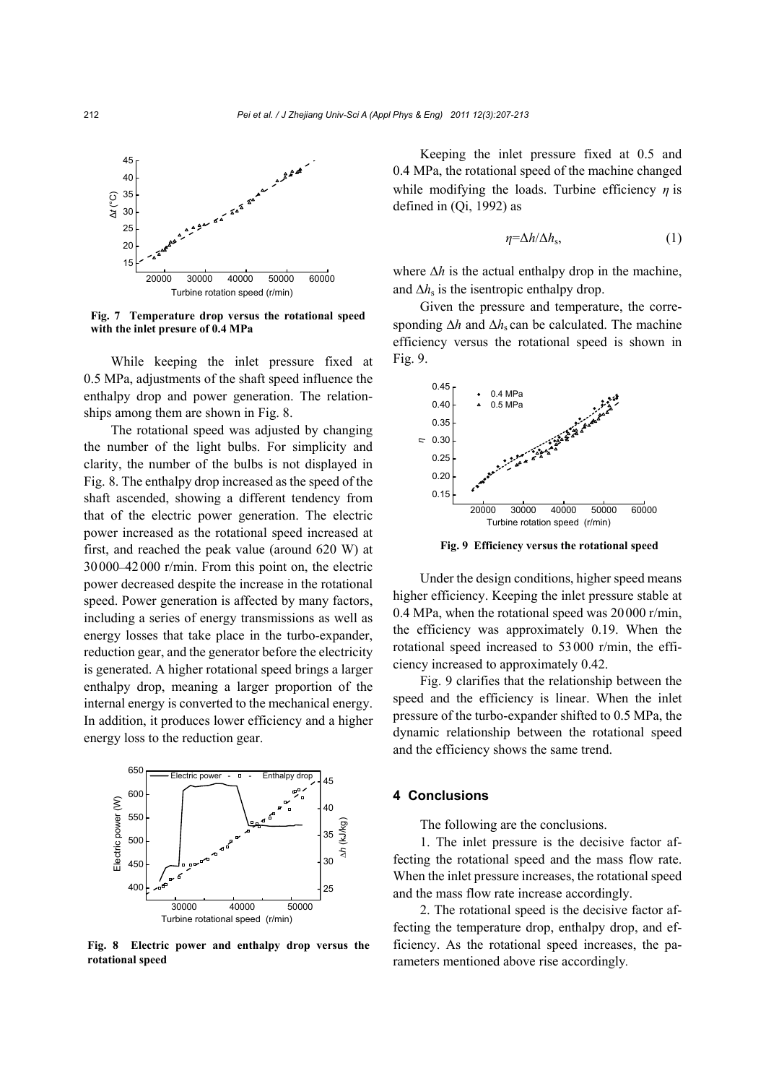

**Fig. 7 Temperature drop versus the rotational speed with the inlet presure of 0.4 MPa** 

While keeping the inlet pressure fixed at 0.5 MPa, adjustments of the shaft speed influence the enthalpy drop and power generation. The relationships among them are shown in Fig. 8.

The rotational speed was adjusted by changing the number of the light bulbs. For simplicity and clarity, the number of the bulbs is not displayed in Fig. 8. The enthalpy drop increased as the speed of the shaft ascended, showing a different tendency from that of the electric power generation. The electric power increased as the rotational speed increased at first, and reached the peak value (around 620 W) at 30000–42000 r/min. From this point on, the electric power decreased despite the increase in the rotational speed. Power generation is affected by many factors, including a series of energy transmissions as well as energy losses that take place in the turbo-expander, reduction gear, and the generator before the electricity is generated. A higher rotational speed brings a larger enthalpy drop, meaning a larger proportion of the internal energy is converted to the mechanical energy. In addition, it produces lower efficiency and a higher energy loss to the reduction gear.



**Fig. 8 Electric power and enthalpy drop versus the rotational speed** 

Keeping the inlet pressure fixed at 0.5 and 0.4 MPa, the rotational speed of the machine changed while modifying the loads. Turbine efficiency *η* is defined in (Qi, 1992) as

$$
\eta = \Delta h / \Delta h_{\rm s},\tag{1}
$$

where  $\Delta h$  is the actual enthalpy drop in the machine, and  $\Delta h_s$  is the isentropic enthalpy drop.

Given the pressure and temperature, the corresponding  $\Delta h$  and  $\Delta h$ <sub>s</sub> can be calculated. The machine efficiency versus the rotational speed is shown in Fig. 9.



**Fig. 9 Efficiency versus the rotational speed** 

Under the design conditions, higher speed means higher efficiency. Keeping the inlet pressure stable at 0.4 MPa, when the rotational speed was 20000 r/min, the efficiency was approximately 0.19. When the rotational speed increased to 53000 r/min, the efficiency increased to approximately 0.42.

Fig. 9 clarifies that the relationship between the speed and the efficiency is linear. When the inlet pressure of the turbo-expander shifted to 0.5 MPa, the dynamic relationship between the rotational speed and the efficiency shows the same trend.

## **4 Conclusions**

The following are the conclusions.

1. The inlet pressure is the decisive factor affecting the rotational speed and the mass flow rate. When the inlet pressure increases, the rotational speed and the mass flow rate increase accordingly.

2. The rotational speed is the decisive factor affecting the temperature drop, enthalpy drop, and efficiency. As the rotational speed increases, the parameters mentioned above rise accordingly*.*